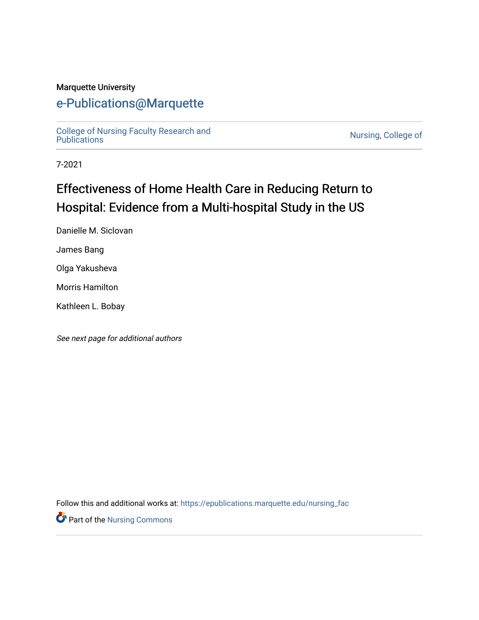#### Marquette University

## [e-Publications@Marquette](https://epublications.marquette.edu/)

[College of Nursing Faculty Research and](https://epublications.marquette.edu/nursing_fac)<br>Publications

Nursing, College of

7-2021

# Effectiveness of Home Health Care in Reducing Return to Hospital: Evidence from a Multi-hospital Study in the US

Danielle M. Siclovan

James Bang

Olga Yakusheva

Morris Hamilton

Kathleen L. Bobay

See next page for additional authors

Follow this and additional works at: [https://epublications.marquette.edu/nursing\\_fac](https://epublications.marquette.edu/nursing_fac?utm_source=epublications.marquette.edu%2Fnursing_fac%2F897&utm_medium=PDF&utm_campaign=PDFCoverPages)

**Part of the Nursing Commons**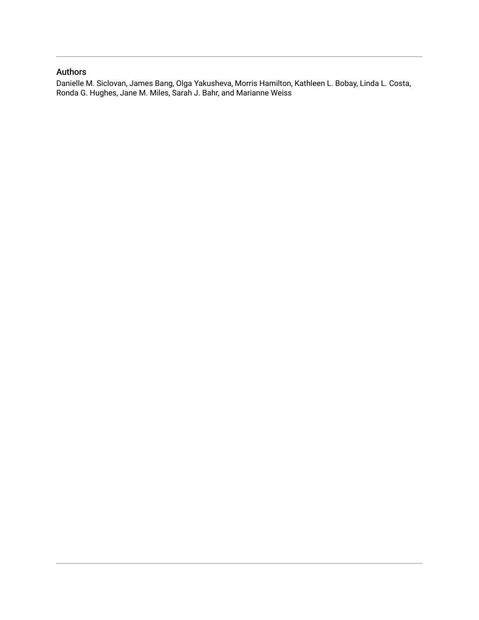#### Authors

Danielle M. Siclovan, James Bang, Olga Yakusheva, Morris Hamilton, Kathleen L. Bobay, Linda L. Costa, Ronda G. Hughes, Jane M. Miles, Sarah J. Bahr, and Marianne Weiss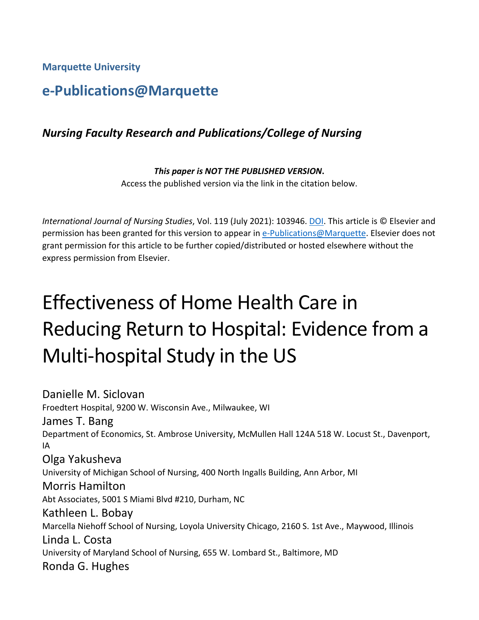**Marquette University**

## **e-Publications@Marquette**

## *Nursing Faculty Research and Publications/College of Nursing*

#### *This paper is NOT THE PUBLISHED VERSION***.**  Access the published version via the link in the citation below.

*International Journal of Nursing Studies*, Vol. 119 (July 2021): 103946. [DOI.](https://doi.org/10.1016/j.ijnurstu.2021.103946) This article is © Elsevier and permission has been granted for this version to appear in [e-Publications@Marquette.](http://epublications.marquette.edu/) Elsevier does not grant permission for this article to be further copied/distributed or hosted elsewhere without the express permission from Elsevier.

# Effectiveness of Home Health Care in Reducing Return to Hospital: Evidence from a Multi-hospital Study in the US

Danielle M. Siclovan Froedtert Hospital, 9200 W. Wisconsin Ave., Milwaukee, WI James T. Bang Department of Economics, St. Ambrose University, McMullen Hall 124A 518 W. Locust St., Davenport, IA Olga Yakusheva University of Michigan School of Nursing, 400 North Ingalls Building, Ann Arbor, MI Morris Hamilton Abt Associates, 5001 S Miami Blvd #210, Durham, NC Kathleen L. Bobay Marcella Niehoff School of Nursing, Loyola University Chicago, 2160 S. 1st Ave., Maywood, Illinois Linda L. Costa University of Maryland School of Nursing, 655 W. Lombard St., Baltimore, MD Ronda G. Hughes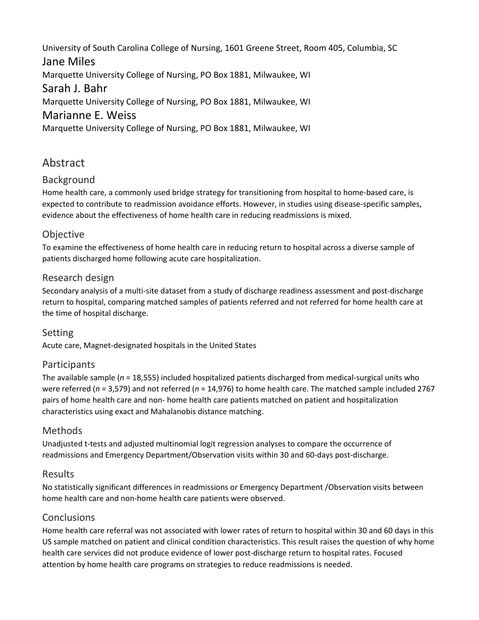University of South Carolina College of Nursing, 1601 Greene Street, Room 405, Columbia, SC Jane Miles Marquette University College of Nursing, PO Box 1881, Milwaukee, WI Sarah J. Bahr Marquette University College of Nursing, PO Box 1881, Milwaukee, WI Marianne E. Weiss Marquette University College of Nursing, PO Box 1881, Milwaukee, WI

## Abstract

#### Background

Home health care, a commonly used bridge strategy for transitioning from hospital to home-based care, is expected to contribute to readmission avoidance efforts. However, in studies using disease-specific samples, evidence about the effectiveness of home health care in reducing readmissions is mixed.

#### **Objective**

To examine the effectiveness of home health care in reducing return to hospital across a diverse sample of patients discharged home following acute care hospitalization.

#### Research design

Secondary analysis of a multi-site dataset from a study of discharge readiness assessment and post-discharge return to hospital, comparing matched samples of patients referred and not referred for home health care at the time of hospital discharge.

#### Setting

Acute care, Magnet-designated hospitals in the United States

#### Participants

The available sample (*n* = 18,555) included hospitalized patients discharged from medical-surgical units who were referred (*n* = 3,579) and not referred (*n* = 14,976) to home health care. The matched sample included 2767 pairs of home health care and non- home health care patients matched on patient and hospitalization characteristics using exact and Mahalanobis distance matching.

#### Methods

Unadjusted t-tests and adjusted multinomial logit regression analyses to compare the occurrence of readmissions and Emergency Department/Observation visits within 30 and 60-days post-discharge.

#### Results

No statistically significant differences in readmissions or Emergency Department /Observation visits between home health care and non-home health care patients were observed.

#### Conclusions

Home health care referral was not associated with lower rates of return to hospital within 30 and 60 days in this US sample matched on patient and clinical condition characteristics. This result raises the question of why home health care services did not produce evidence of lower post-discharge return to hospital rates. Focused attention by home health care programs on strategies to reduce readmissions is needed.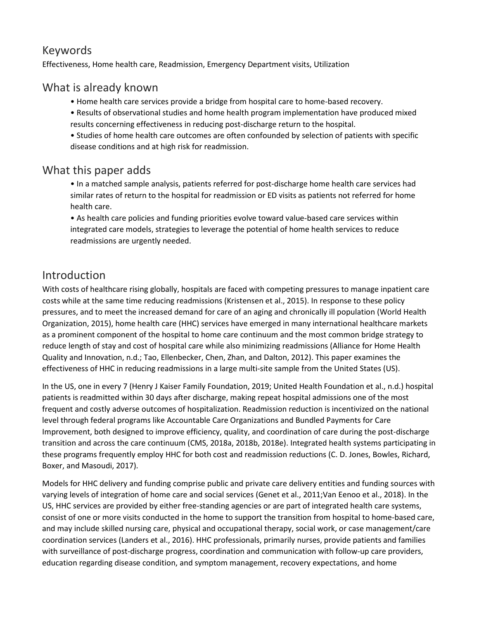## Keywords

Effectiveness, Home health care, Readmission, Emergency Department visits, Utilization

## What is already known

- Home health care services provide a bridge from hospital care to home-based recovery.
- Results of observational studies and home health program implementation have produced mixed results concerning effectiveness in reducing post-discharge return to the hospital.

• Studies of home health care outcomes are often confounded by selection of patients with specific disease conditions and at high risk for readmission.

## What this paper adds

• In a matched sample analysis, patients referred for post-discharge home health care services had similar rates of return to the hospital for readmission or ED visits as patients not referred for home health care.

• As health care policies and funding priorities evolve toward value-based care services within integrated care models, strategies to leverage the potential of home health services to reduce readmissions are urgently needed.

## Introduction

With costs of healthcare rising globally, hospitals are faced with competing pressures to manage inpatient care costs while at the same time reducing readmissions (Kristensen et al., 2015). In response to these policy pressures, and to meet the increased demand for care of an aging and chronically ill population (World Health Organization, 2015), home health care (HHC) services have emerged in many international healthcare markets as a prominent component of the hospital to home care continuum and the most common bridge strategy to reduce length of stay and cost of hospital care while also minimizing readmissions (Alliance for Home Health Quality and Innovation, n.d.; Tao, Ellenbecker, Chen, Zhan, and Dalton, 2012). This paper examines the effectiveness of HHC in reducing readmissions in a large multi-site sample from the United States (US).

In the US, one in every 7 (Henry J Kaiser Family Foundation, 2019; United Health Foundation et al., n.d.) hospital patients is readmitted within 30 days after discharge, making repeat hospital admissions one of the most frequent and costly adverse outcomes of hospitalization. Readmission reduction is incentivized on the national level through federal programs like Accountable Care Organizations and Bundled Payments for Care Improvement, both designed to improve efficiency, quality, and coordination of care during the post-discharge transition and across the care continuum (CMS, 2018a, 2018b, 2018e). Integrated health systems participating in these programs frequently employ HHC for both cost and readmission reductions (C. D. Jones, Bowles, Richard, Boxer, and Masoudi, 2017).

Models for HHC delivery and funding comprise public and private care delivery entities and funding sources with varying levels of integration of home care and social services (Genet et al., 2011;Van Eenoo et al., 2018). In the US, HHC services are provided by either free-standing agencies or are part of integrated health care systems, consist of one or more visits conducted in the home to support the transition from hospital to home-based care, and may include skilled nursing care, physical and occupational therapy, social work, or case management/care coordination services (Landers et al., 2016). HHC professionals, primarily nurses, provide patients and families with surveillance of post-discharge progress, coordination and communication with follow-up care providers, education regarding disease condition, and symptom management, recovery expectations, and home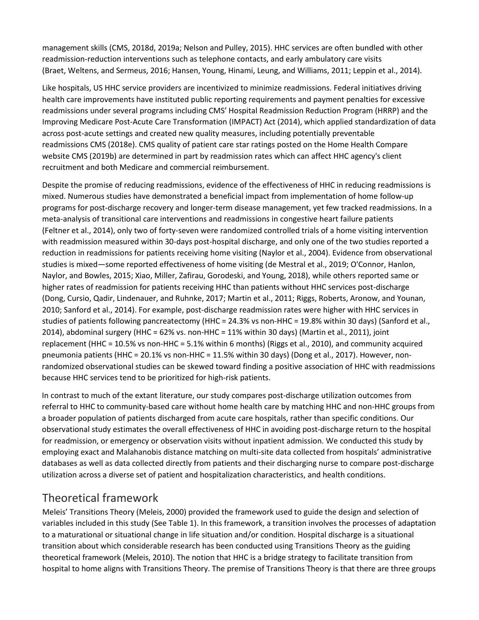management skills (CMS, 2018d, 2019a; Nelson and Pulley, 2015). HHC services are often bundled with other readmission-reduction interventions such as telephone contacts, and early ambulatory care visits (Braet, Weltens, and Sermeus, 2016; Hansen, Young, Hinami, Leung, and Williams, 2011; Leppin et al., 2014).

Like hospitals, US HHC service providers are incentivized to minimize readmissions. Federal initiatives driving health care improvements have instituted public reporting requirements and payment penalties for excessive readmissions under several programs including CMS' Hospital Readmission Reduction Program (HRRP) and the Improving Medicare Post-Acute Care Transformation (IMPACT) Act (2014), which applied standardization of data across post-acute settings and created new quality measures, including potentially preventable readmissions CMS (2018e). CMS quality of patient care star ratings posted on the Home Health Compare website CMS (2019b) are determined in part by readmission rates which can affect HHC agency's client recruitment and both Medicare and commercial reimbursement.

Despite the promise of reducing readmissions, evidence of the effectiveness of HHC in reducing readmissions is mixed. Numerous studies have demonstrated a beneficial impact from implementation of home follow-up programs for post-discharge recovery and longer-term disease management, yet few tracked readmissions. In a meta-analysis of transitional care interventions and readmissions in congestive heart failure patients (Feltner et al., 2014), only two of forty-seven were randomized controlled trials of a home visiting intervention with readmission measured within 30-days post-hospital discharge, and only one of the two studies reported a reduction in readmissions for patients receiving home visiting (Naylor et al., 2004). Evidence from observational studies is mixed—some reported effectiveness of home visiting (de Mestral et al., 2019; O'Connor, Hanlon, Naylor, and Bowles, 2015; Xiao, Miller, Zafirau, Gorodeski, and Young, 2018), while others reported same or higher rates of readmission for patients receiving HHC than patients without HHC services post-discharge (Dong, Cursio, Qadir, Lindenauer, and Ruhnke, 2017; Martin et al., 2011; Riggs, Roberts, Aronow, and Younan, 2010; Sanford et al., 2014). For example, post-discharge readmission rates were higher with HHC services in studies of patients following pancreatectomy (HHC = 24.3% vs non-HHC = 19.8% within 30 days) (Sanford et al., 2014), abdominal surgery (HHC = 62% vs. non-HHC = 11% within 30 days) (Martin et al., 2011), joint replacement (HHC = 10.5% vs non-HHC = 5.1% within 6 months) (Riggs et al., 2010), and community acquired pneumonia patients (HHC = 20.1% vs non-HHC = 11.5% within 30 days) (Dong et al., 2017). However, nonrandomized observational studies can be skewed toward finding a positive association of HHC with readmissions because HHC services tend to be prioritized for high-risk patients.

In contrast to much of the extant literature, our study compares post-discharge utilization outcomes from referral to HHC to community-based care without home health care by matching HHC and non-HHC groups from a broader population of patients discharged from acute care hospitals, rather than specific conditions. Our observational study estimates the overall effectiveness of HHC in avoiding post-discharge return to the hospital for readmission, or emergency or observation visits without inpatient admission. We conducted this study by employing exact and Malahanobis distance matching on multi-site data collected from hospitals' administrative databases as well as data collected directly from patients and their discharging nurse to compare post-discharge utilization across a diverse set of patient and hospitalization characteristics, and health conditions.

## Theoretical framework

Meleis' Transitions Theory (Meleis, 2000) provided the framework used to guide the design and selection of variables included in this study (See Table 1). In this framework, a transition involves the processes of adaptation to a maturational or situational change in life situation and/or condition. Hospital discharge is a situational transition about which considerable research has been conducted using Transitions Theory as the guiding theoretical framework (Meleis, 2010). The notion that HHC is a bridge strategy to facilitate transition from hospital to home aligns with Transitions Theory. The premise of Transitions Theory is that there are three groups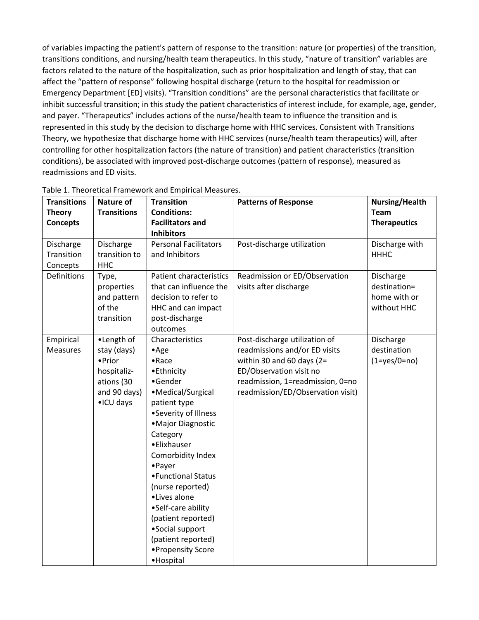of variables impacting the patient's pattern of response to the transition: nature (or properties) of the transition, transitions conditions, and nursing/health team therapeutics. In this study, "nature of transition" variables are factors related to the nature of the hospitalization, such as prior hospitalization and length of stay, that can affect the "pattern of response" following hospital discharge (return to the hospital for readmission or Emergency Department [ED] visits). "Transition conditions" are the personal characteristics that facilitate or inhibit successful transition; in this study the patient characteristics of interest include, for example, age, gender, and payer. "Therapeutics" includes actions of the nurse/health team to influence the transition and is represented in this study by the decision to discharge home with HHC services. Consistent with Transitions Theory, we hypothesize that discharge home with HHC services (nurse/health team therapeutics) will, after controlling for other hospitalization factors (the nature of transition) and patient characteristics (transition conditions), be associated with improved post-discharge outcomes (pattern of response), measured as readmissions and ED visits.

| <b>Transitions</b> | <b>Nature of</b>   | <b>Transition</b>              | <b>Patterns of Response</b>       | Nursing/Health       |
|--------------------|--------------------|--------------------------------|-----------------------------------|----------------------|
| <b>Theory</b>      | <b>Transitions</b> | <b>Conditions:</b>             |                                   | <b>Team</b>          |
| <b>Concepts</b>    |                    | <b>Facilitators and</b>        |                                   | <b>Therapeutics</b>  |
|                    |                    | <b>Inhibitors</b>              |                                   |                      |
| Discharge          | Discharge          | <b>Personal Facilitators</b>   | Post-discharge utilization        | Discharge with       |
| Transition         | transition to      | and Inhibitors                 |                                   | <b>HHHC</b>          |
| Concepts           | <b>HHC</b>         |                                |                                   |                      |
| Definitions        | Type,              | <b>Patient characteristics</b> | Readmission or ED/Observation     | Discharge            |
|                    | properties         | that can influence the         | visits after discharge            | destination=         |
|                    | and pattern        | decision to refer to           |                                   | home with or         |
|                    | of the             | HHC and can impact             |                                   | without HHC          |
|                    | transition         | post-discharge                 |                                   |                      |
|                    |                    | outcomes                       |                                   |                      |
| Empirical          | •Length of         | Characteristics                | Post-discharge utilization of     | Discharge            |
| <b>Measures</b>    | stay (days)        | $•$ Age                        | readmissions and/or ED visits     | destination          |
|                    | • Prior            | $\bullet$ Race                 | within 30 and 60 days ( $2=$      | $(1 = yes / 0 = no)$ |
|                    | hospitaliz-        | •Ethnicity                     | ED/Observation visit no           |                      |
|                    | ations (30         | •Gender                        | readmission, 1=readmission, 0=no  |                      |
|                    | and 90 days)       | •Medical/Surgical              | readmission/ED/Observation visit) |                      |
|                    | •ICU days          | patient type                   |                                   |                      |
|                    |                    | •Severity of Illness           |                                   |                      |
|                    |                    | • Major Diagnostic             |                                   |                      |
|                    |                    | Category                       |                                   |                      |
|                    |                    | •Elixhauser                    |                                   |                      |
|                    |                    | Comorbidity Index              |                                   |                      |
|                    |                    | • Payer                        |                                   |                      |
|                    |                    | • Functional Status            |                                   |                      |
|                    |                    | (nurse reported)               |                                   |                      |
|                    |                    | •Lives alone                   |                                   |                      |
|                    |                    | •Self-care ability             |                                   |                      |
|                    |                    | (patient reported)             |                                   |                      |
|                    |                    | •Social support                |                                   |                      |
|                    |                    | (patient reported)             |                                   |                      |
|                    |                    | • Propensity Score             |                                   |                      |
|                    |                    | ·Hospital                      |                                   |                      |

#### Table 1. Theoretical Framework and Empirical Measures.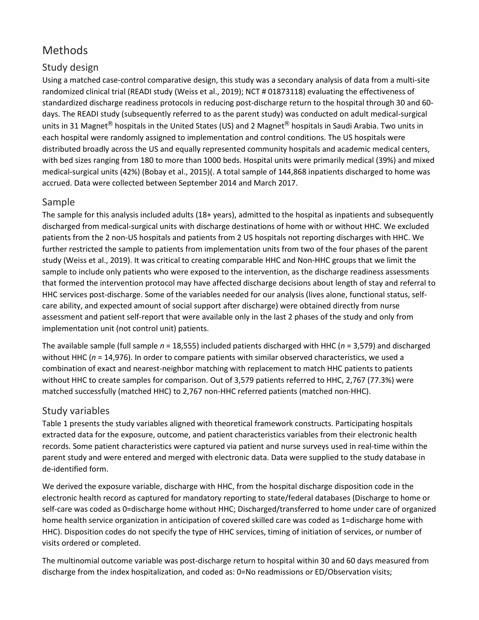## Methods

## Study design

Using a matched case-control comparative design, this study was a secondary analysis of data from a multi-site randomized clinical trial (READI study (Weiss et al., 2019); NCT # 01873118) evaluating the effectiveness of standardized discharge readiness protocols in reducing post-discharge return to the hospital through 30 and 60 days. The READI study (subsequently referred to as the parent study) was conducted on adult medical-surgical units in 31 Magnet<sup>®</sup> hospitals in the United States (US) and 2 Magnet<sup>®</sup> hospitals in Saudi Arabia. Two units in each hospital were randomly assigned to implementation and control conditions. The US hospitals were distributed broadly across the US and equally represented community hospitals and academic medical centers, with bed sizes ranging from 180 to more than 1000 beds. Hospital units were primarily medical (39%) and mixed medical-surgical units (42%) (Bobay et al., 2015)(. A total sample of 144,868 inpatients discharged to home was accrued. Data were collected between September 2014 and March 2017.

### Sample

The sample for this analysis included adults (18+ years), admitted to the hospital as inpatients and subsequently discharged from medical-surgical units with discharge destinations of home with or without HHC. We excluded patients from the 2 non-US hospitals and patients from 2 US hospitals not reporting discharges with HHC. We further restricted the sample to patients from implementation units from two of the four phases of the parent study (Weiss et al., 2019). It was critical to creating comparable HHC and Non-HHC groups that we limit the sample to include only patients who were exposed to the intervention, as the discharge readiness assessments that formed the intervention protocol may have affected discharge decisions about length of stay and referral to HHC services post-discharge. Some of the variables needed for our analysis (lives alone, functional status, selfcare ability, and expected amount of social support after discharge) were obtained directly from nurse assessment and patient self-report that were available only in the last 2 phases of the study and only from implementation unit (not control unit) patients.

The available sample (full sample *n* = 18,555) included patients discharged with HHC (*n* = 3,579) and discharged without HHC (*n* = 14,976). In order to compare patients with similar observed characteristics, we used a combination of exact and nearest-neighbor matching with replacement to match HHC patients to patients without HHC to create samples for comparison. Out of 3,579 patients referred to HHC, 2,767 (77.3%) were matched successfully (matched HHC) to 2,767 non-HHC referred patients (matched non-HHC).

### Study variables

Table 1 presents the study variables aligned with theoretical framework constructs. Participating hospitals extracted data for the exposure, outcome, and patient characteristics variables from their electronic health records. Some patient characteristics were captured via patient and nurse surveys used in real-time within the parent study and were entered and merged with electronic data. Data were supplied to the study database in de-identified form.

We derived the exposure variable, discharge with HHC, from the hospital discharge disposition code in the electronic health record as captured for mandatory reporting to state/federal databases (Discharge to home or self-care was coded as 0=discharge home without HHC; Discharged/transferred to home under care of organized home health service organization in anticipation of covered skilled care was coded as 1=discharge home with HHC). Disposition codes do not specify the type of HHC services, timing of initiation of services, or number of visits ordered or completed.

The multinomial outcome variable was post-discharge return to hospital within 30 and 60 days measured from discharge from the index hospitalization, and coded as: 0=No readmissions or ED/Observation visits;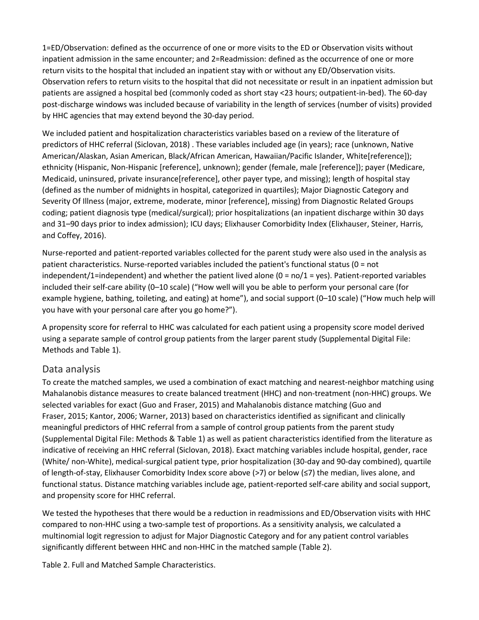1=ED/Observation: defined as the occurrence of one or more visits to the ED or Observation visits without inpatient admission in the same encounter; and 2=Readmission: defined as the occurrence of one or more return visits to the hospital that included an inpatient stay with or without any ED/Observation visits. Observation refers to return visits to the hospital that did not necessitate or result in an inpatient admission but patients are assigned a hospital bed (commonly coded as short stay <23 hours; outpatient-in-bed). The 60-day post-discharge windows was included because of variability in the length of services (number of visits) provided by HHC agencies that may extend beyond the 30-day period.

We included patient and hospitalization characteristics variables based on a review of the literature of predictors of HHC referral (Siclovan, 2018) . These variables included age (in years); race (unknown, Native American/Alaskan, Asian American, Black/African American, Hawaiian/Pacific Islander, White[reference]); ethnicity (Hispanic, Non-Hispanic [reference], unknown); gender (female, male [reference]); payer (Medicare, Medicaid, uninsured, private insurance[reference], other payer type, and missing); length of hospital stay (defined as the number of midnights in hospital, categorized in quartiles); Major Diagnostic Category and Severity Of Illness (major, extreme, moderate, minor [reference], missing) from Diagnostic Related Groups coding; patient diagnosis type (medical/surgical); prior hospitalizations (an inpatient discharge within 30 days and 31–90 days prior to index admission); ICU days; Elixhauser Comorbidity Index (Elixhauser, Steiner, Harris, and Coffey, 2016).

Nurse-reported and patient-reported variables collected for the parent study were also used in the analysis as patient characteristics. Nurse-reported variables included the patient's functional status (0 = not independent/1=independent) and whether the patient lived alone  $(0 = \frac{no}{1} = \text{yes})$ . Patient-reported variables included their self-care ability (0–10 scale) ("How well will you be able to perform your personal care (for example hygiene, bathing, toileting, and eating) at home"), and social support (0–10 scale) ("How much help will you have with your personal care after you go home?").

A propensity score for referral to HHC was calculated for each patient using a propensity score model derived using a separate sample of control group patients from the larger parent study (Supplemental Digital File: Methods and Table 1).

#### Data analysis

To create the matched samples, we used a combination of exact matching and nearest-neighbor matching using Mahalanobis distance measures to create balanced treatment (HHC) and non-treatment (non-HHC) groups. We selected variables for exact (Guo and Fraser, 2015) and Mahalanobis distance matching (Guo and Fraser, 2015; Kantor, 2006; Warner, 2013) based on characteristics identified as significant and clinically meaningful predictors of HHC referral from a sample of control group patients from the parent study (Supplemental Digital File: Methods & Table 1) as well as patient characteristics identified from the literature as indicative of receiving an HHC referral (Siclovan, 2018). Exact matching variables include hospital, gender, race (White/ non-White), medical-surgical patient type, prior hospitalization (30-day and 90-day combined), quartile of length-of-stay, Elixhauser Comorbidity Index score above (>7) or below (≤7) the median, lives alone, and functional status. Distance matching variables include age, patient-reported self-care ability and social support, and propensity score for HHC referral.

We tested the hypotheses that there would be a reduction in readmissions and ED/Observation visits with HHC compared to non-HHC using a two-sample test of proportions. As a sensitivity analysis, we calculated a multinomial logit regression to adjust for Major Diagnostic Category and for any patient control variables significantly different between HHC and non-HHC in the matched sample (Table 2).

Table 2. Full and Matched Sample Characteristics.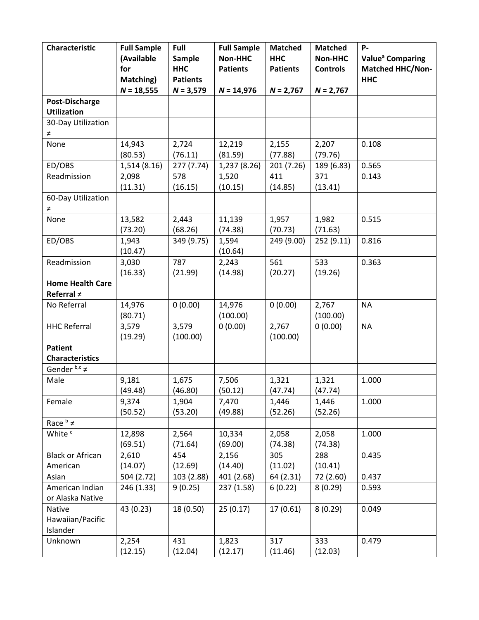| Characteristic                 | <b>Full Sample</b> | Full            | <b>Full Sample</b> | <b>Matched</b>  | <b>Matched</b>  | P-                           |
|--------------------------------|--------------------|-----------------|--------------------|-----------------|-----------------|------------------------------|
|                                | (Available         | Sample          | Non-HHC            | <b>HHC</b>      | <b>Non-HHC</b>  | Value <sup>a</sup> Comparing |
|                                | for                | <b>HHC</b>      | <b>Patients</b>    | <b>Patients</b> | <b>Controls</b> | <b>Matched HHC/Non-</b>      |
|                                | Matching)          | <b>Patients</b> |                    |                 |                 | <b>HHC</b>                   |
|                                | $N = 18,555$       | $N = 3,579$     | $N = 14,976$       | $N = 2,767$     | $N = 2,767$     |                              |
| <b>Post-Discharge</b>          |                    |                 |                    |                 |                 |                              |
| <b>Utilization</b>             |                    |                 |                    |                 |                 |                              |
| 30-Day Utilization             |                    |                 |                    |                 |                 |                              |
| $\neq$                         |                    |                 |                    |                 |                 |                              |
| None                           | 14,943             | 2,724           | 12,219             | 2,155           | 2,207           | 0.108                        |
|                                | (80.53)            | (76.11)         | (81.59)            | (77.88)         | (79.76)         |                              |
| ED/OBS                         | 1,514 (8.16)       | 277 (7.74)      | 1,237 (8.26)       | 201 (7.26)      | 189 (6.83)      | 0.565                        |
| Readmission                    | 2,098              | 578             | 1,520              | 411             | 371             | 0.143                        |
|                                | (11.31)            | (16.15)         | (10.15)            | (14.85)         | (13.41)         |                              |
| 60-Day Utilization<br>$\neq$   |                    |                 |                    |                 |                 |                              |
| None                           | 13,582             | 2,443           | 11,139             | 1,957           | 1,982           | 0.515                        |
|                                | (73.20)            | (68.26)         | (74.38)            | (70.73)         | (71.63)         |                              |
| ED/OBS                         | 1,943              | 349 (9.75)      | 1,594              | 249 (9.00)      | 252 (9.11)      | 0.816                        |
|                                | (10.47)            |                 | (10.64)            |                 |                 |                              |
| Readmission                    | 3,030              | 787             | 2,243              | 561             | 533             | 0.363                        |
|                                | (16.33)            | (21.99)         | (14.98)            | (20.27)         | (19.26)         |                              |
| <b>Home Health Care</b>        |                    |                 |                    |                 |                 |                              |
| Referral $\neq$                |                    |                 |                    |                 |                 |                              |
| No Referral                    | 14,976             | 0(0.00)         | 14,976             | 0(0.00)         | 2,767           | <b>NA</b>                    |
|                                | (80.71)            |                 | (100.00)           |                 | (100.00)        |                              |
| <b>HHC Referral</b>            | 3,579              | 3,579           | 0(0.00)            | 2,767           | 0(0.00)         | <b>NA</b>                    |
|                                | (19.29)            | (100.00)        |                    | (100.00)        |                 |                              |
| <b>Patient</b>                 |                    |                 |                    |                 |                 |                              |
| <b>Characteristics</b>         |                    |                 |                    |                 |                 |                              |
| Gender $b,c \neq$              |                    |                 |                    |                 |                 |                              |
| Male                           | 9,181              | 1,675           | 7,506              | 1,321           | 1,321           | 1.000                        |
|                                | (49.48)            | (46.80)         | (50.12)            | (47.74)         | (47.74)         |                              |
| Female                         | 9,374              | 1,904           | 7,470              | 1,446           | 1,446           | 1.000                        |
|                                | (50.52)            | (53.20)         | (49.88)            | (52.26)         | (52.26)         |                              |
| Race $\frac{b}{\epsilon} \neq$ |                    |                 |                    |                 |                 |                              |
| White <sup>c</sup>             | 12,898             | 2,564           | 10,334             | 2,058           | 2,058           | 1.000                        |
|                                | (69.51)            | (71.64)         | (69.00)            | (74.38)         | (74.38)         |                              |
| <b>Black or African</b>        | 2,610              | 454             | 2,156              | 305             | 288             | 0.435                        |
| American                       | (14.07)            | (12.69)         | (14.40)            | (11.02)         | (10.41)         |                              |
| Asian                          | 504 (2.72)         | 103 (2.88)      | 401 (2.68)         | 64 (2.31)       | 72 (2.60)       | 0.437                        |
| American Indian                | 246 (1.33)         | 9(0.25)         | 237 (1.58)         | 6(0.22)         | 8(0.29)         | 0.593                        |
| or Alaska Native               |                    |                 |                    |                 |                 |                              |
| Native                         | 43 (0.23)          | 18 (0.50)       | 25(0.17)           | 17(0.61)        | 8(0.29)         | 0.049                        |
| Hawaiian/Pacific               |                    |                 |                    |                 |                 |                              |
| Islander                       |                    |                 |                    |                 |                 |                              |
| Unknown                        | 2,254              | 431             | 1,823              | 317             | 333             | 0.479                        |
|                                | (12.15)            | (12.04)         | (12.17)            | (11.46)         | (12.03)         |                              |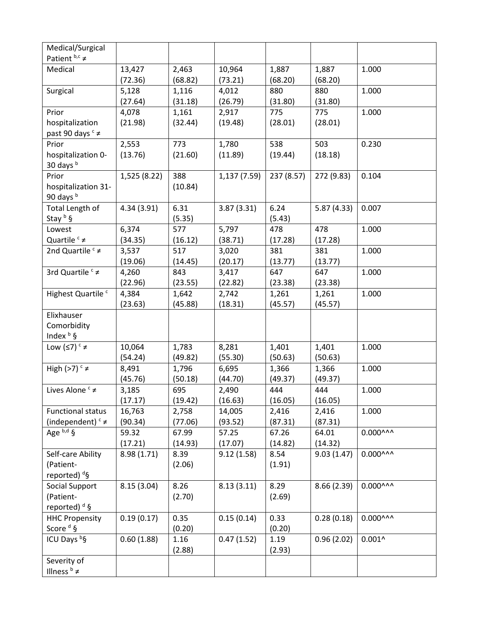| Medical/Surgical<br>Patient $b,c \neq$ |                   |                  |                   |                  |                  |                     |
|----------------------------------------|-------------------|------------------|-------------------|------------------|------------------|---------------------|
|                                        |                   |                  |                   |                  |                  |                     |
| Medical                                | 13,427<br>(72.36) | 2,463<br>(68.82) | 10,964<br>(73.21) | 1,887<br>(68.20) | 1,887<br>(68.20) | 1.000               |
| Surgical                               | 5,128             | 1,116            | 4,012             | 880              | 880              | 1.000               |
|                                        | (27.64)           | (31.18)          | (26.79)           | (31.80)          | (31.80)          |                     |
| Prior                                  | 4,078             | 1,161            | 2,917             | 775              | 775              | 1.000               |
| hospitalization                        | (21.98)           | (32.44)          | (19.48)           | (28.01)          | (28.01)          |                     |
| past 90 days <sup>c</sup> ≠            |                   |                  |                   |                  |                  |                     |
| Prior                                  | 2,553             | 773              | 1,780             | 538              | 503              | 0.230               |
| hospitalization 0-                     | (13.76)           | (21.60)          | (11.89)           | (19.44)          | (18.18)          |                     |
| 30 days b                              |                   |                  |                   |                  |                  |                     |
| Prior                                  | 1,525 (8.22)      | 388              | 1,137(7.59)       | 237 (8.57)       | 272 (9.83)       | 0.104               |
| hospitalization 31-                    |                   | (10.84)          |                   |                  |                  |                     |
| 90 days b                              |                   |                  |                   |                  |                  |                     |
| Total Length of                        | 4.34(3.91)        | 6.31             | 3.87(3.31)        | 6.24             | 5.87(4.33)       | 0.007               |
| Stay b §                               |                   | (5.35)           |                   | (5.43)           |                  |                     |
| Lowest                                 | 6,374             | 577              | 5,797             | 478              | 478              | 1.000               |
| Quartile $c \neq$                      | (34.35)           | (16.12)          | (38.71)           | (17.28)          | (17.28)          |                     |
| 2nd Quartile $c \neq$                  | 3,537             | 517              | 3,020             | 381              | 381              | 1.000               |
|                                        | (19.06)           | (14.45)          | (20.17)           | (13.77)          | (13.77)          |                     |
| 3rd Quartile <sup>c</sup> ≠            | 4,260             | 843              | 3,417             | 647              | 647              | 1.000               |
|                                        | (22.96)           | (23.55)          | (22.82)           | (23.38)          | (23.38)          |                     |
| Highest Quartile <sup>c</sup>          | 4,384             | 1,642            | 2,742             | 1,261            | 1,261            | 1.000               |
|                                        | (23.63)           | (45.88)          | (18.31)           | (45.57)          | (45.57)          |                     |
| Elixhauser                             |                   |                  |                   |                  |                  |                     |
| Comorbidity                            |                   |                  |                   |                  |                  |                     |
| Index $b$ §                            |                   |                  |                   |                  |                  |                     |
| Low $(≤7)$ <sup>c</sup> ≠              | 10,064            | 1,783            | 8,281             | 1,401            | 1,401            | 1.000               |
|                                        | (54.24)           | (49.82)          | (55.30)           | (50.63)          | (50.63)          |                     |
| High (>7) $c \neq$                     | 8,491             | 1,796            | 6,695             | 1,366            | 1,366            | 1.000               |
|                                        | (45.76)           | (50.18)          | (44.70)           | (49.37)          | (49.37)          |                     |
| Lives Alone <sup>c</sup> ≠             | 3,185             | 695              | 2,490             | 444              | 444              | 1.000               |
|                                        | (17.17)           | (19.42)          | (16.63)           | (16.05)          | (16.05)          |                     |
| <b>Functional status</b>               | 16,763            | 2,758            | 14,005            | 2,416            | 2,416            | 1.000               |
| (independent) $c \neq$                 | (90.34)           | (77.06)          | (93.52)           | (87.31)          | (87.31)          |                     |
| Age $b,d \overline{S}$                 | 59.32             | 67.99            | 57.25             | 67.26            | 64.01            | $0.000^{AA}$        |
|                                        | (17.21)           | (14.93)          | (17.07)           | (14.82)          | (14.32)          |                     |
| Self-care Ability                      | 8.98(1.71)        | 8.39             | 9.12(1.58)        | 8.54             | 9.03(1.47)       | $0.000^{\text{AA}}$ |
| (Patient-                              |                   | (2.06)           |                   | (1.91)           |                  |                     |
| reported) <sup>d</sup> §               |                   |                  |                   |                  |                  |                     |
| Social Support                         | 8.15(3.04)        | 8.26             | 8.13(3.11)        | 8.29             | 8.66(2.39)       | $0.000^{\text{AA}}$ |
| (Patient-                              |                   | (2.70)           |                   | (2.69)           |                  |                     |
| reported) $d$ §                        |                   |                  |                   |                  |                  |                     |
| <b>HHC Propensity</b>                  | 0.19(0.17)        | 0.35             | 0.15(0.14)        | 0.33             | 0.28(0.18)       | $0.000^{\text{AA}}$ |
| Score <sup>d</sup> §                   |                   | (0.20)           |                   | (0.20)           |                  |                     |
| ICU Days bg                            | 0.60(1.88)        | 1.16             | 0.47(1.52)        | 1.19             | 0.96(2.02)       | $0.001^$            |
|                                        |                   | (2.88)           |                   | (2.93)           |                  |                     |
| Severity of                            |                   |                  |                   |                  |                  |                     |
| Illness $\frac{b}{7} \neq$             |                   |                  |                   |                  |                  |                     |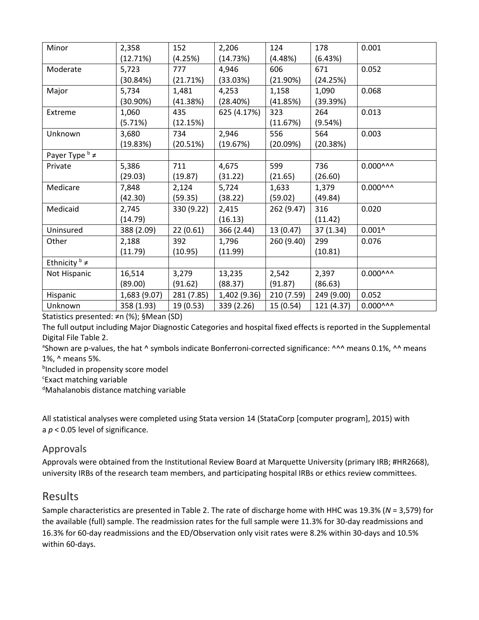| Minor                         | 2,358        | 152        | 2,206        | 124        | 178        | 0.001               |
|-------------------------------|--------------|------------|--------------|------------|------------|---------------------|
|                               | (12.71%)     | (4.25%)    | (14.73%)     | (4.48%)    | (6.43%)    |                     |
| Moderate                      | 5,723        | 777        | 4,946        | 606        | 671        | 0.052               |
|                               | (30.84%)     | (21.71%)   | (33.03%)     | (21.90%)   | (24.25%)   |                     |
| Major                         | 5,734        | 1,481      | 4,253        | 1,158      | 1,090      | 0.068               |
|                               | $(30.90\%)$  | (41.38%)   | (28.40%)     | (41.85%)   | (39.39%)   |                     |
| Extreme                       | 1,060        | 435        | 625 (4.17%)  | 323        | 264        | 0.013               |
|                               | (5.71%)      | (12.15%)   |              | (11.67%)   | (9.54%)    |                     |
| Unknown                       | 3,680        | 734        | 2,946        | 556        | 564        | 0.003               |
|                               | (19.83%)     | (20.51%)   | (19.67%)     | (20.09%)   | (20.38%)   |                     |
| Payer Type $\frac{b}{f} \neq$ |              |            |              |            |            |                     |
| Private                       | 5,386        | 711        | 4,675        | 599        | 736        | $0.000^{0.00}$      |
|                               | (29.03)      | (19.87)    | (31.22)      | (21.65)    | (26.60)    |                     |
| Medicare                      | 7,848        | 2,124      | 5,724        | 1,633      | 1,379      | $0.000^{0.00}$      |
|                               | (42.30)      | (59.35)    | (38.22)      | (59.02)    | (49.84)    |                     |
| Medicaid                      | 2,745        | 330 (9.22) | 2,415        | 262 (9.47) | 316        | 0.020               |
|                               | (14.79)      |            | (16.13)      |            | (11.42)    |                     |
| Uninsured                     | 388 (2.09)   | 22(0.61)   | 366 (2.44)   | 13 (0.47)  | 37(1.34)   | $0.001^$            |
| Other                         | 2,188        | 392        | 1,796        | 260 (9.40) | 299        | 0.076               |
|                               | (11.79)      | (10.95)    | (11.99)      |            | (10.81)    |                     |
| Ethnicity $\flat \neq$        |              |            |              |            |            |                     |
| Not Hispanic                  | 16,514       | 3,279      | 13,235       | 2,542      | 2,397      | $0.000^{n n}$       |
|                               | (89.00)      | (91.62)    | (88.37)      | (91.87)    | (86.63)    |                     |
| Hispanic                      | 1,683 (9.07) | 281 (7.85) | 1,402 (9.36) | 210 (7.59) | 249 (9.00) | 0.052               |
| Unknown                       | 358 (1.93)   | 19 (0.53)  | 339 (2.26)   | 15(0.54)   | 121 (4.37) | $0.000^{\text{AA}}$ |

Statistics presented: ≠n (%); §Mean (SD)

The full output including Major Diagnostic Categories and hospital fixed effects is reported in the Supplemental Digital File Table 2.

<sup>a</sup>Shown are p-values, the hat ^ symbols indicate Bonferroni-corrected significance: ^^^ means 0.1%, ^^ means 1%, ^ means 5%.

**bIncluded in propensity score model** 

<sup>c</sup>Exact matching variable

d Mahalanobis distance matching variable

All statistical analyses were completed using Stata version 14 (StataCorp [computer program], 2015) with a *p* < 0.05 level of significance.

#### Approvals

Approvals were obtained from the Institutional Review Board at Marquette University (primary IRB; #HR2668), university IRBs of the research team members, and participating hospital IRBs or ethics review committees.

## Results

Sample characteristics are presented in Table 2. The rate of discharge home with HHC was 19.3% (*N* = 3,579) for the available (full) sample. The readmission rates for the full sample were 11.3% for 30-day readmissions and 16.3% for 60-day readmissions and the ED/Observation only visit rates were 8.2% within 30-days and 10.5% within 60-days.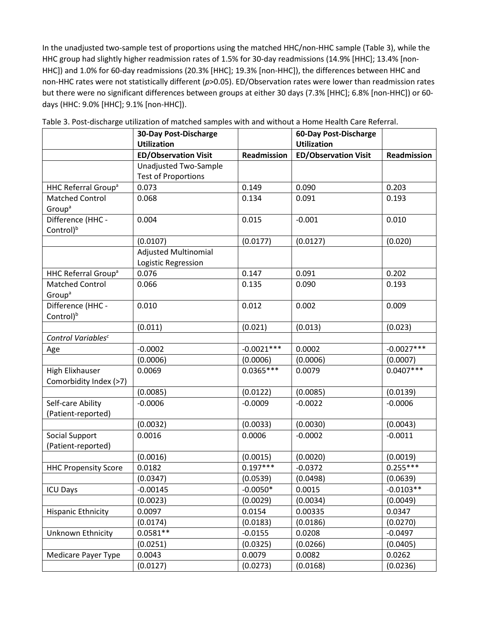In the unadjusted two-sample test of proportions using the matched HHC/non-HHC sample (Table 3), while the HHC group had slightly higher readmission rates of 1.5% for 30-day readmissions (14.9% [HHC]; 13.4% [non-HHC]) and 1.0% for 60-day readmissions (20.3% [HHC]; 19.3% [non-HHC]), the differences between HHC and non-HHC rates were not statistically different (*p*>0.05). ED/Observation rates were lower than readmission rates but there were no significant differences between groups at either 30 days (7.3% [HHC]; 6.8% [non-HHC]) or 60 days (HHC: 9.0% [HHC]; 9.1% [non-HHC]).

|                                 | 30-Day Post-Discharge       |                    | 60-Day Post-Discharge       |              |
|---------------------------------|-----------------------------|--------------------|-----------------------------|--------------|
|                                 | <b>Utilization</b>          |                    | <b>Utilization</b>          |              |
|                                 | <b>ED/Observation Visit</b> | <b>Readmission</b> | <b>ED/Observation Visit</b> | Readmission  |
|                                 | Unadjusted Two-Sample       |                    |                             |              |
|                                 | <b>Test of Proportions</b>  |                    |                             |              |
| HHC Referral Group <sup>a</sup> | 0.073                       | 0.149              | 0.090                       | 0.203        |
| <b>Matched Control</b>          | 0.068                       | 0.134              | 0.091                       | 0.193        |
| Group <sup>a</sup>              |                             |                    |                             |              |
| Difference (HHC -               | 0.004                       | 0.015              | $-0.001$                    | 0.010        |
| Control) <sup>b</sup>           |                             |                    |                             |              |
|                                 | (0.0107)                    | (0.0177)           | (0.0127)                    | (0.020)      |
|                                 | <b>Adjusted Multinomial</b> |                    |                             |              |
|                                 | Logistic Regression         |                    |                             |              |
| HHC Referral Group <sup>a</sup> | 0.076                       | 0.147              | 0.091                       | 0.202        |
| <b>Matched Control</b>          | 0.066                       | 0.135              | 0.090                       | 0.193        |
| Group <sup>a</sup>              |                             |                    |                             |              |
| Difference (HHC -               | 0.010                       | 0.012              | 0.002                       | 0.009        |
| Control) <sup>b</sup>           |                             |                    |                             |              |
|                                 | (0.011)                     | (0.021)            | (0.013)                     | (0.023)      |
| Control Variables <sup>c</sup>  |                             |                    |                             |              |
| Age                             | $-0.0002$                   | $-0.0021***$       | 0.0002                      | $-0.0027***$ |
|                                 | (0.0006)                    | (0.0006)           | (0.0006)                    | (0.0007)     |
| <b>High Elixhauser</b>          | 0.0069                      | $0.0365***$        | 0.0079                      | $0.0407***$  |
| Comorbidity Index (>7)          |                             |                    |                             |              |
|                                 | (0.0085)                    | (0.0122)           | (0.0085)                    | (0.0139)     |
| Self-care Ability               | $-0.0006$                   | $-0.0009$          | $-0.0022$                   | $-0.0006$    |
| (Patient-reported)              |                             |                    |                             |              |
|                                 | (0.0032)                    | (0.0033)           | (0.0030)                    | (0.0043)     |
| Social Support                  | 0.0016                      | 0.0006             | $-0.0002$                   | $-0.0011$    |
| (Patient-reported)              |                             |                    |                             |              |
|                                 | (0.0016)                    | (0.0015)           | (0.0020)                    | (0.0019)     |
| <b>HHC Propensity Score</b>     | 0.0182                      | $0.197***$         | $-0.0372$                   | $0.255***$   |
|                                 | (0.0347)                    | (0.0539)           | (0.0498)                    | (0.0639)     |
| <b>ICU Days</b>                 | $-0.00145$                  | $-0.0050*$         | 0.0015                      | $-0.0103**$  |
|                                 | (0.0023)                    | (0.0029)           | (0.0034)                    | (0.0049)     |
| <b>Hispanic Ethnicity</b>       | 0.0097                      | 0.0154             | 0.00335                     | 0.0347       |
|                                 | (0.0174)                    | (0.0183)           | (0.0186)                    | (0.0270)     |
| Unknown Ethnicity               | $0.0581**$                  | $-0.0155$          | 0.0208                      | $-0.0497$    |
|                                 | (0.0251)                    | (0.0325)           | (0.0266)                    | (0.0405)     |
| Medicare Payer Type             | 0.0043                      | 0.0079             | 0.0082                      | 0.0262       |
|                                 | (0.0127)                    | (0.0273)           | (0.0168)                    | (0.0236)     |

Table 3. Post-discharge utilization of matched samples with and without a Home Health Care Referral.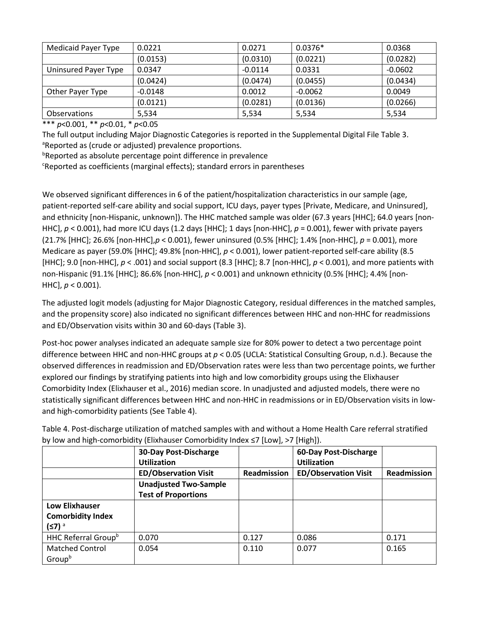| Medicaid Payer Type  | 0.0221    | 0.0271    | $0.0376*$ | 0.0368    |
|----------------------|-----------|-----------|-----------|-----------|
|                      | (0.0153)  | (0.0310)  | (0.0221)  | (0.0282)  |
| Uninsured Payer Type | 0.0347    | $-0.0114$ | 0.0331    | $-0.0602$ |
|                      | (0.0424)  | (0.0474)  | (0.0455)  | (0.0434)  |
| Other Payer Type     | $-0.0148$ | 0.0012    | $-0.0062$ | 0.0049    |
|                      | (0.0121)  | (0.0281)  | (0.0136)  | (0.0266)  |
| <b>Observations</b>  | 5,534     | 5,534     | 5,534     | 5,534     |

\*\*\* *p*<0.001, \*\* *p*<0.01, \* *p*<0.05

The full output including Major Diagnostic Categories is reported in the Supplemental Digital File Table 3. <sup>a</sup>Reported as (crude or adjusted) prevalence proportions.

b Reported as absolute percentage point difference in prevalence

c Reported as coefficients (marginal effects); standard errors in parentheses

We observed significant differences in 6 of the patient/hospitalization characteristics in our sample (age, patient-reported self-care ability and social support, ICU days, payer types [Private, Medicare, and Uninsured], and ethnicity [non-Hispanic, unknown]). The HHC matched sample was older (67.3 years [HHC]; 64.0 years [non-HHC], *p* < 0.001), had more ICU days (1.2 days [HHC]; 1 days [non-HHC], *p* = 0.001), fewer with private payers (21.7% [HHC]; 26.6% [non-HHC],*p* < 0.001), fewer uninsured (0.5% [HHC]; 1.4% [non-HHC], *p* = 0.001), more Medicare as payer (59.0% [HHC]; 49.8% [non-HHC], *p* < 0.001), lower patient-reported self-care ability (8.5 [HHC]; 9.0 [non-HHC], *p* < .001) and social support (8.3 [HHC]; 8.7 [non-HHC], *p* < 0.001), and more patients with non-Hispanic (91.1% [HHC]; 86.6% [non-HHC], *p* < 0.001) and unknown ethnicity (0.5% [HHC]; 4.4% [non-HHC], *p* < 0.001).

The adjusted logit models (adjusting for Major Diagnostic Category, residual differences in the matched samples, and the propensity score) also indicated no significant differences between HHC and non-HHC for readmissions and ED/Observation visits within 30 and 60-days (Table 3).

Post-hoc power analyses indicated an adequate sample size for 80% power to detect a two percentage point difference between HHC and non-HHC groups at *p* < 0.05 (UCLA: Statistical Consulting Group, n.d.). Because the observed differences in readmission and ED/Observation rates were less than two percentage points, we further explored our findings by stratifying patients into high and low comorbidity groups using the Elixhauser Comorbidity Index (Elixhauser et al., 2016) median score. In unadjusted and adjusted models, there were no statistically significant differences between HHC and non-HHC in readmissions or in ED/Observation visits in lowand high-comorbidity patients (See Table 4).

|                                 | <b>30-Day Post-Discharge</b><br><b>Utilization</b> |             | 60-Day Post-Discharge<br><b>Utilization</b> |                    |
|---------------------------------|----------------------------------------------------|-------------|---------------------------------------------|--------------------|
|                                 | <b>ED/Observation Visit</b>                        | Readmission | <b>ED/Observation Visit</b>                 | <b>Readmission</b> |
|                                 | <b>Unadjusted Two-Sample</b>                       |             |                                             |                    |
|                                 | <b>Test of Proportions</b>                         |             |                                             |                    |
| <b>Low Elixhauser</b>           |                                                    |             |                                             |                    |
| <b>Comorbidity Index</b>        |                                                    |             |                                             |                    |
| $(57)^a$                        |                                                    |             |                                             |                    |
| HHC Referral Group <sup>b</sup> | 0.070                                              | 0.127       | 0.086                                       | 0.171              |
| <b>Matched Control</b>          | 0.054                                              | 0.110       | 0.077                                       | 0.165              |
| Groupb                          |                                                    |             |                                             |                    |

Table 4. Post-discharge utilization of matched samples with and without a Home Health Care referral stratified by low and high-comorbidity (Elixhauser Comorbidity Index ≤7 [Low], >7 [High]).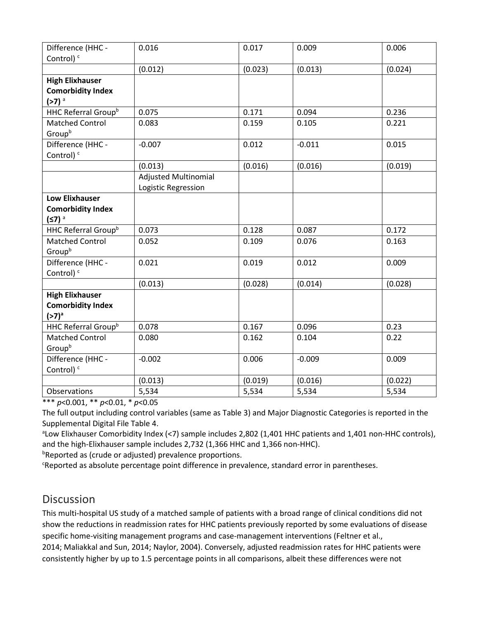| Difference (HHC -<br>Control) <sup>c</sup>                                | 0.016                                              | 0.017   | 0.009    | 0.006   |
|---------------------------------------------------------------------------|----------------------------------------------------|---------|----------|---------|
|                                                                           | (0.012)                                            | (0.023) | (0.013)  | (0.024) |
| <b>High Elixhauser</b><br><b>Comorbidity Index</b><br>$(>7)$ <sup>a</sup> |                                                    |         |          |         |
| HHC Referral Group <sup>b</sup>                                           | 0.075                                              | 0.171   | 0.094    | 0.236   |
| <b>Matched Control</b><br>Groupb                                          | 0.083                                              | 0.159   | 0.105    | 0.221   |
| Difference (HHC -<br>Control) <sup>c</sup>                                | $-0.007$                                           | 0.012   | $-0.011$ | 0.015   |
|                                                                           | (0.013)                                            | (0.016) | (0.016)  | (0.019) |
|                                                                           | <b>Adjusted Multinomial</b><br>Logistic Regression |         |          |         |
| <b>Low Elixhauser</b>                                                     |                                                    |         |          |         |
| <b>Comorbidity Index</b>                                                  |                                                    |         |          |         |
| $(57)^a$                                                                  |                                                    |         |          |         |
| HHC Referral Group <sup>b</sup>                                           | 0.073                                              | 0.128   | 0.087    | 0.172   |
| <b>Matched Control</b><br>Groupb                                          | 0.052                                              | 0.109   | 0.076    | 0.163   |
| Difference (HHC -<br>Control) <sup>c</sup>                                | 0.021                                              | 0.019   | 0.012    | 0.009   |
|                                                                           | (0.013)                                            | (0.028) | (0.014)  | (0.028) |
| <b>High Elixhauser</b><br><b>Comorbidity Index</b><br>$(>7)^a$            |                                                    |         |          |         |
| HHC Referral Group <sup>b</sup>                                           | 0.078                                              | 0.167   | 0.096    | 0.23    |
| <b>Matched Control</b><br>Groupb                                          | 0.080                                              | 0.162   | 0.104    | 0.22    |
| Difference (HHC -<br>Control) <sup>c</sup>                                | $-0.002$                                           | 0.006   | $-0.009$ | 0.009   |
|                                                                           | (0.013)                                            | (0.019) | (0.016)  | (0.022) |
| Observations                                                              | 5,534                                              | 5,534   | 5,534    | 5,534   |

\*\*\* *p*<0.001, \*\* *p*<0.01, \* *p*<0.05

The full output including control variables (same as Table 3) and Major Diagnostic Categories is reported in the Supplemental Digital File Table 4.

<sup>a</sup>Low Elixhauser Comorbidity Index (<7) sample includes 2,802 (1,401 HHC patients and 1,401 non-HHC controls), and the high-Elixhauser sample includes 2,732 (1,366 HHC and 1,366 non-HHC).

<sup>b</sup>Reported as (crude or adjusted) prevalence proportions.

<sup>c</sup>Reported as absolute percentage point difference in prevalence, standard error in parentheses.

## **Discussion**

This multi-hospital US study of a matched sample of patients with a broad range of clinical conditions did not show the reductions in readmission rates for HHC patients previously reported by some evaluations of disease specific home-visiting management programs and case-management interventions (Feltner et al., 2014; Maliakkal and Sun, 2014; Naylor, 2004). Conversely, adjusted readmission rates for HHC patients were consistently higher by up to 1.5 percentage points in all comparisons, albeit these differences were not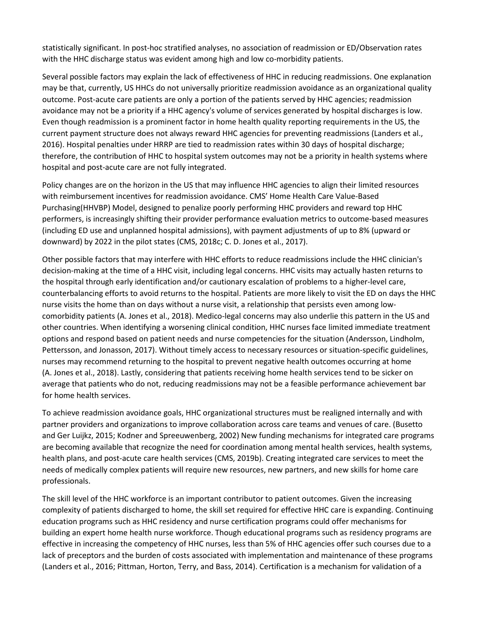statistically significant. In post-hoc stratified analyses, no association of readmission or ED/Observation rates with the HHC discharge status was evident among high and low co-morbidity patients.

Several possible factors may explain the lack of effectiveness of HHC in reducing readmissions. One explanation may be that, currently, US HHCs do not universally prioritize readmission avoidance as an organizational quality outcome. Post-acute care patients are only a portion of the patients served by HHC agencies; readmission avoidance may not be a priority if a HHC agency's volume of services generated by hospital discharges is low. Even though readmission is a prominent factor in home health quality reporting requirements in the US, the current payment structure does not always reward HHC agencies for preventing readmissions (Landers et al., 2016). Hospital penalties under HRRP are tied to readmission rates within 30 days of hospital discharge; therefore, the contribution of HHC to hospital system outcomes may not be a priority in health systems where hospital and post-acute care are not fully integrated.

Policy changes are on the horizon in the US that may influence HHC agencies to align their limited resources with reimbursement incentives for readmission avoidance. CMS' Home Health Care Value-Based Purchasing(HHVBP) Model, designed to penalize poorly performing HHC providers and reward top HHC performers, is increasingly shifting their provider performance evaluation metrics to outcome-based measures (including ED use and unplanned hospital admissions), with payment adjustments of up to 8% (upward or downward) by 2022 in the pilot states (CMS, 2018c; C. D. Jones et al., 2017).

Other possible factors that may interfere with HHC efforts to reduce readmissions include the HHC clinician's decision-making at the time of a HHC visit, including legal concerns. HHC visits may actually hasten returns to the hospital through early identification and/or cautionary escalation of problems to a higher-level care, counterbalancing efforts to avoid returns to the hospital. Patients are more likely to visit the ED on days the HHC nurse visits the home than on days without a nurse visit, a relationship that persists even among lowcomorbidity patients (A. Jones et al., 2018). Medico-legal concerns may also underlie this pattern in the US and other countries. When identifying a worsening clinical condition, HHC nurses face limited immediate treatment options and respond based on patient needs and nurse competencies for the situation (Andersson, Lindholm, Pettersson, and Jonasson, 2017). Without timely access to necessary resources or situation-specific guidelines, nurses may recommend returning to the hospital to prevent negative health outcomes occurring at home (A. Jones et al., 2018). Lastly, considering that patients receiving home health services tend to be sicker on average that patients who do not, reducing readmissions may not be a feasible performance achievement bar for home health services.

To achieve readmission avoidance goals, HHC organizational structures must be realigned internally and with partner providers and organizations to improve collaboration across care teams and venues of care. (Busetto and Ger Luijkz, 2015; Kodner and Spreeuwenberg, 2002) New funding mechanisms for integrated care programs are becoming available that recognize the need for coordination among mental health services, health systems, health plans, and post-acute care health services (CMS, 2019b). Creating integrated care services to meet the needs of medically complex patients will require new resources, new partners, and new skills for home care professionals.

The skill level of the HHC workforce is an important contributor to patient outcomes. Given the increasing complexity of patients discharged to home, the skill set required for effective HHC care is expanding. Continuing education programs such as HHC residency and nurse certification programs could offer mechanisms for building an expert home health nurse workforce. Though educational programs such as residency programs are effective in increasing the competency of HHC nurses, less than 5% of HHC agencies offer such courses due to a lack of preceptors and the burden of costs associated with implementation and maintenance of these programs (Landers et al., 2016; Pittman, Horton, Terry, and Bass, 2014). Certification is a mechanism for validation of a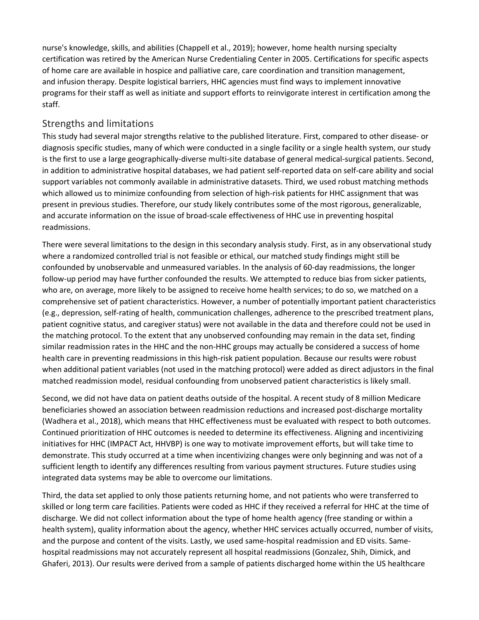nurse's knowledge, skills, and abilities (Chappell et al., 2019); however, home health nursing specialty certification was retired by the American Nurse Credentialing Center in 2005. Certifications for specific aspects of home care are available in hospice and palliative care, care coordination and transition management, and infusion therapy. Despite logistical barriers, HHC agencies must find ways to implement innovative programs for their staff as well as initiate and support efforts to reinvigorate interest in certification among the staff.

#### Strengths and limitations

This study had several major strengths relative to the published literature. First, compared to other disease- or diagnosis specific studies, many of which were conducted in a single facility or a single health system, our study is the first to use a large geographically-diverse multi-site database of general medical-surgical patients. Second, in addition to administrative hospital databases, we had patient self-reported data on self-care ability and social support variables not commonly available in administrative datasets. Third, we used robust matching methods which allowed us to minimize confounding from selection of high-risk patients for HHC assignment that was present in previous studies. Therefore, our study likely contributes some of the most rigorous, generalizable, and accurate information on the issue of broad-scale effectiveness of HHC use in preventing hospital readmissions.

There were several limitations to the design in this secondary analysis study. First, as in any observational study where a randomized controlled trial is not feasible or ethical, our matched study findings might still be confounded by unobservable and unmeasured variables. In the analysis of 60-day readmissions, the longer follow-up period may have further confounded the results. We attempted to reduce bias from sicker patients, who are, on average, more likely to be assigned to receive home health services; to do so, we matched on a comprehensive set of patient characteristics. However, a number of potentially important patient characteristics (e.g., depression, self-rating of health, communication challenges, adherence to the prescribed treatment plans, patient cognitive status, and caregiver status) were not available in the data and therefore could not be used in the matching protocol. To the extent that any unobserved confounding may remain in the data set, finding similar readmission rates in the HHC and the non-HHC groups may actually be considered a success of home health care in preventing readmissions in this high-risk patient population. Because our results were robust when additional patient variables (not used in the matching protocol) were added as direct adjustors in the final matched readmission model, residual confounding from unobserved patient characteristics is likely small.

Second, we did not have data on patient deaths outside of the hospital. A recent study of 8 million Medicare beneficiaries showed an association between readmission reductions and increased post-discharge mortality (Wadhera et al., 2018), which means that HHC effectiveness must be evaluated with respect to both outcomes. Continued prioritization of HHC outcomes is needed to determine its effectiveness. Aligning and incentivizing initiatives for HHC (IMPACT Act, HHVBP) is one way to motivate improvement efforts, but will take time to demonstrate. This study occurred at a time when incentivizing changes were only beginning and was not of a sufficient length to identify any differences resulting from various payment structures. Future studies using integrated data systems may be able to overcome our limitations.

Third, the data set applied to only those patients returning home, and not patients who were transferred to skilled or long term care facilities. Patients were coded as HHC if they received a referral for HHC at the time of discharge. We did not collect information about the type of home health agency (free standing or within a health system), quality information about the agency, whether HHC services actually occurred, number of visits, and the purpose and content of the visits. Lastly, we used same-hospital readmission and ED visits. Samehospital readmissions may not accurately represent all hospital readmissions (Gonzalez, Shih, Dimick, and Ghaferi, 2013). Our results were derived from a sample of patients discharged home within the US healthcare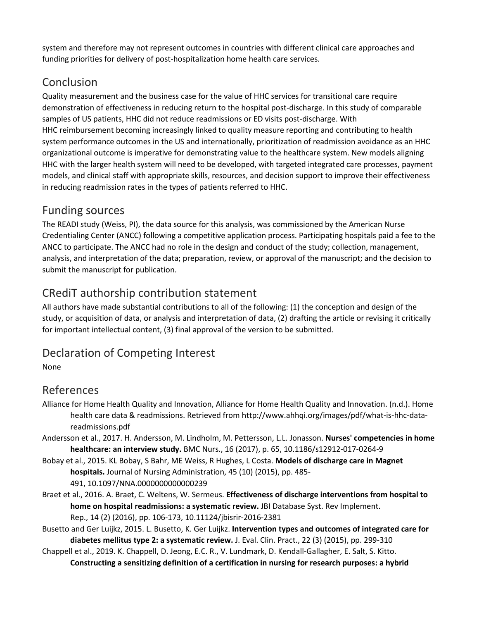system and therefore may not represent outcomes in countries with different clinical care approaches and funding priorities for delivery of post-hospitalization home health care services.

## Conclusion

Quality measurement and the business case for the value of HHC services for transitional care require demonstration of effectiveness in reducing return to the hospital post-discharge. In this study of comparable samples of US patients, HHC did not reduce readmissions or ED visits post-discharge. With HHC reimbursement becoming increasingly linked to quality measure reporting and contributing to health system performance outcomes in the US and internationally, prioritization of readmission avoidance as an HHC organizational outcome is imperative for demonstrating value to the healthcare system. New models aligning HHC with the larger health system will need to be developed, with targeted integrated care processes, payment models, and clinical staff with appropriate skills, resources, and decision support to improve their effectiveness in reducing readmission rates in the types of patients referred to HHC.

## Funding sources

The READI study (Weiss, PI), the data source for this analysis, was commissioned by the American Nurse Credentialing Center (ANCC) following a competitive application process. Participating hospitals paid a fee to the ANCC to participate. The ANCC had no role in the design and conduct of the study; collection, management, analysis, and interpretation of the data; preparation, review, or approval of the manuscript; and the decision to submit the manuscript for publication.

## CRediT authorship contribution statement

All authors have made substantial contributions to all of the following: (1) the conception and design of the study, or acquisition of data, or analysis and interpretation of data, (2) drafting the article or revising it critically for important intellectual content, (3) final approval of the version to be submitted.

## Declaration of Competing Interest

None

## References

- Alliance for Home Health Quality and Innovation, Alliance for Home Health Quality and Innovation. (n.d.). Home health care data & readmissions. Retrieved from http://www.ahhqi.org/images/pdf/what-is-hhc-datareadmissions.pdf
- Andersson et al., 2017. H. Andersson, M. Lindholm, M. Pettersson, L.L. Jonasson. **Nurses' competencies in home healthcare: an interview study.** BMC Nurs., 16 (2017), p. 65, 10.1186/s12912-017-0264-9
- Bobay et al., 2015. KL Bobay, S Bahr, ME Weiss, R Hughes, L Costa. **Models of discharge care in Magnet hospitals.** Journal of Nursing Administration, 45 (10) (2015), pp. 485- 491, 10.1097/NNA.0000000000000239
- Braet et al., 2016. A. Braet, C. Weltens, W. Sermeus. **Effectiveness of discharge interventions from hospital to home on hospital readmissions: a systematic review.** JBI Database Syst. Rev Implement. Rep., 14 (2) (2016), pp. 106-173, 10.11124/jbisrir-2016-2381
- Busetto and Ger Luijkz, 2015. L. Busetto, K. Ger Luijkz. **Intervention types and outcomes of integrated care for diabetes mellitus type 2: a systematic review.** J. Eval. Clin. Pract., 22 (3) (2015), pp. 299-310
- Chappell et al., 2019. K. Chappell, D. Jeong, E.C. R., V. Lundmark, D. Kendall-Gallagher, E. Salt, S. Kitto. **Constructing a sensitizing definition of a certification in nursing for research purposes: a hybrid**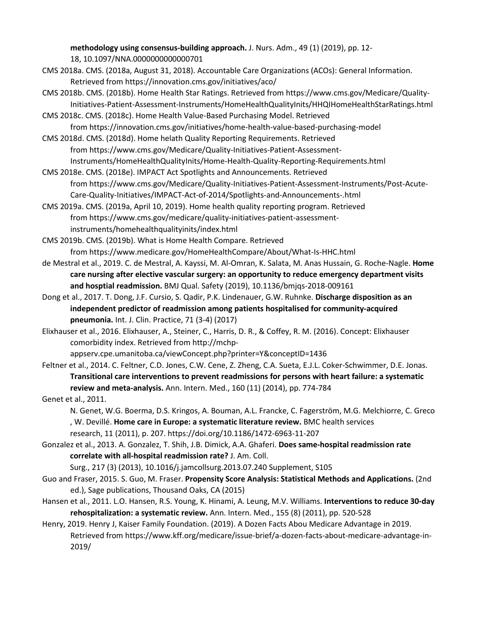**methodology using consensus-building approach.** J. Nurs. Adm., 49 (1) (2019), pp. 12- 18, 10.1097/NNA.0000000000000701

- CMS 2018a. CMS. (2018a, August 31, 2018). Accountable Care Organizations (ACOs): General Information. Retrieved from https://innovation.cms.gov/initiatives/aco/
- CMS 2018b. CMS. (2018b). Home Health Star Ratings. Retrieved from https://www.cms.gov/Medicare/Quality-Initiatives-Patient-Assessment-Instruments/HomeHealthQualityInits/HHQIHomeHealthStarRatings.html

CMS 2018c. CMS. (2018c). Home Health Value-Based Purchasing Model. Retrieved from https://innovation.cms.gov/initiatives/home-health-value-based-purchasing-model

CMS 2018d. CMS. (2018d). Home helath Quality Reporting Requirements. Retrieved from https://www.cms.gov/Medicare/Quality-Initiatives-Patient-Assessment-Instruments/HomeHealthQualityInits/Home-Health-Quality-Reporting-Requirements.html

CMS 2018e. CMS. (2018e). IMPACT Act Spotlights and Announcements. Retrieved from https://www.cms.gov/Medicare/Quality-Initiatives-Patient-Assessment-Instruments/Post-Acute-Care-Quality-Initiatives/IMPACT-Act-of-2014/Spotlights-and-Announcements-.html

CMS 2019a. CMS. (2019a, April 10, 2019). Home health quality reporting program. Retrieved from https://www.cms.gov/medicare/quality-initiatives-patient-assessmentinstruments/homehealthqualityinits/index.html

CMS 2019b. CMS. (2019b). What is Home Health Compare. Retrieved from https://www.medicare.gov/HomeHealthCompare/About/What-Is-HHC.html

- de Mestral et al., 2019. C. de Mestral, A. Kayssi, M. Al-Omran, K. Salata, M. Anas Hussain, G. Roche-Nagle. **Home care nursing after elective vascular surgery: an opportunity to reduce emergency department visits and hosptial readmission.** BMJ Qual. Safety (2019), 10.1136/bmjqs-2018-009161
- Dong et al., 2017. T. Dong, J.F. Cursio, S. Qadir, P.K. Lindenauer, G.W. Ruhnke. **Discharge disposition as an independent predictor of readmission among patients hospitalised for community-acquired pneumonia.** Int. J. Clin. Practice, 71 (3-4) (2017)

Elixhauser et al., 2016. Elixhauser, A., Steiner, C., Harris, D. R., & Coffey, R. M. (2016). Concept: Elixhauser comorbidity index. Retrieved from http://mchp-

appserv.cpe.umanitoba.ca/viewConcept.php?printer=Y&conceptID=1436

Feltner et al., 2014. C. Feltner, C.D. Jones, C.W. Cene, Z. Zheng, C.A. Sueta, E.J.L. Coker-Schwimmer, D.E. Jonas. **Transitional care interventions to prevent readmissions for persons with heart failure: a systematic review and meta-analysis.** Ann. Intern. Med., 160 (11) (2014), pp. 774-784

Genet et al., 2011.

N. Genet, W.G. Boerma, D.S. Kringos, A. Bouman, A.L. Francke, C. Fagerström, M.G. Melchiorre, C. Greco , W. Devillé. **Home care in Europe: a systematic literature review.** BMC health services research, 11 (2011), p. 207. https://doi.org/10.1186/1472-6963-11-207

Gonzalez et al., 2013. A. Gonzalez, T. Shih, J.B. Dimick, A.A. Ghaferi. **Does same-hospital readmission rate correlate with all-hospital readmission rate?** J. Am. Coll.

Surg., 217 (3) (2013), 10.1016/j.jamcollsurg.2013.07.240 Supplement, S105

- Guo and Fraser, 2015. S. Guo, M. Fraser. **Propensity Score Analysis: Statistical Methods and Applications.** (2nd ed.), Sage publications, Thousand Oaks, CA (2015)
- Hansen et al., 2011. L.O. Hansen, R.S. Young, K. Hinami, A. Leung, M.V. Williams. **Interventions to reduce 30-day rehospitalization: a systematic review.** Ann. Intern. Med., 155 (8) (2011), pp. 520-528

Henry, 2019. Henry J, Kaiser Family Foundation. (2019). A Dozen Facts Abou Medicare Advantage in 2019. Retrieved from https://www.kff.org/medicare/issue-brief/a-dozen-facts-about-medicare-advantage-in-2019/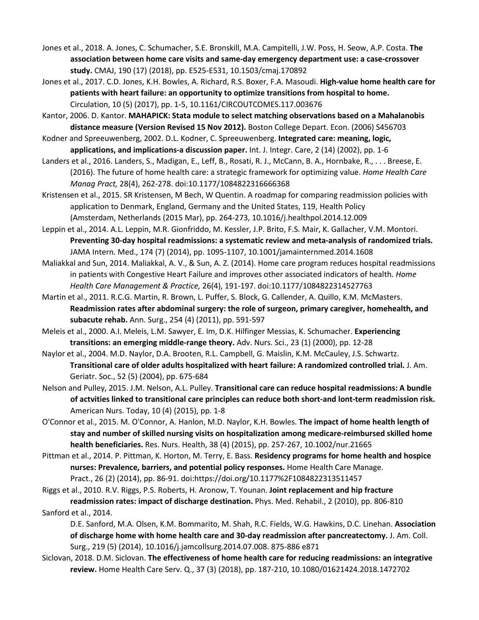- Jones et al., 2018. A. Jones, C. Schumacher, S.E. Bronskill, M.A. Campitelli, J.W. Poss, H. Seow, A.P. Costa. **The association between home care visits and same-day emergency department use: a case-crossover study.** CMAJ, 190 (17) (2018), pp. E525-E531, 10.1503/cmaj.170892
- Jones et al., 2017. C.D. Jones, K.H. Bowles, A. Richard, R.S. Boxer, F.A. Masoudi. **High-value home health care for patients with heart failure: an opportunity to optimize transitions from hospital to home.**  Circulation, 10 (5) (2017), pp. 1-5, 10.1161/CIRCOUTCOMES.117.003676
- Kantor, 2006. D. Kantor. **MAHAPICK: Stata module to select matching observations based on a Mahalanobis distance measure (Version Revised 15 Nov 2012).** Boston College Depart. Econ. (2006) S456703
- Kodner and Spreeuwenberg, 2002. D.L. Kodner, C. Spreeuwenberg. **Integrated care: meaning, logic, applications, and implications-a discussion paper.** Int. J. Integr. Care, 2 (14) (2002), pp. 1-6
- Landers et al., 2016. Landers, S., Madigan, E., Leff, B., Rosati, R. J., McCann, B. A., Hornbake, R., . . . Breese, E. (2016). The future of home health care: a strategic framework for optimizing value. *Home Health Care Manag Pract,* 28(4), 262-278. doi:10.1177/1084822316666368
- Kristensen et al., 2015. SR Kristensen, M Bech, W Quentin. A roadmap for comparing readmission policies with application to Denmark, England, Germany and the United States, 119, Health Policy (Amsterdam, Netherlands (2015 Mar), pp. 264-273, 10.1016/j.healthpol.2014.12.009
- Leppin et al., 2014. A.L. Leppin, M.R. Gionfriddo, M. Kessler, J.P. Brito, F.S. Mair, K. Gallacher, V.M. Montori. **Preventing 30-day hospital readmissions: a systematic review and meta-analysis of randomized trials.**  JAMA Intern. Med., 174 (7) (2014), pp. 1095-1107, 10.1001/jamainternmed.2014.1608
- Maliakkal and Sun, 2014. Maliakkal, A. V., & Sun, A. Z. (2014). Home care program reduces hospital readmissions in patients with Congestive Heart Failure and improves other associated indicators of health. *Home Health Care Management & Practice,* 26(4), 191-197. doi:10.1177/1084822314527763
- Martin et al., 2011. R.C.G. Martin, R. Brown, L. Puffer, S. Block, G. Callender, A. Quillo, K.M. McMasters. **Readmission rates after abdominal surgery: the role of surgeon, primary caregiver, homehealth, and subacute rehab.** Ann. Surg., 254 (4) (2011), pp. 591-597
- Meleis et al., 2000. A.I. Meleis, L.M. Sawyer, E. Im, D.K. Hilfinger Messias, K. Schumacher. **Experiencing transitions: an emerging middle-range theory.** Adv. Nurs. Sci., 23 (1) (2000), pp. 12-28
- Naylor et al., 2004. M.D. Naylor, D.A. Brooten, R.L. Campbell, G. Maislin, K.M. McCauley, J.S. Schwartz. **Transitional care of older adults hospitalized with heart failure: A randomized controlled trial.** J. Am. Geriatr. Soc., 52 (5) (2004), pp. 675-684
- Nelson and Pulley, 2015. J.M. Nelson, A.L. Pulley. **Transitional care can reduce hospital readmissions: A bundle of actvities linked to transitional care principles can reduce both short-and lont-term readmission risk.**  American Nurs. Today, 10 (4) (2015), pp. 1-8
- O'Connor et al., 2015. M. O'Connor, A. Hanlon, M.D. Naylor, K.H. Bowles. **The impact of home health length of stay and number of skilled nursing visits on hospitalization among medicare-reimbursed skilled home health beneficiaries.** Res. Nurs. Health, 38 (4) (2015), pp. 257-267, 10.1002/nur.21665
- Pittman et al., 2014. P. Pittman, K. Horton, M. Terry, E. Bass. **Residency programs for home health and hospice nurses: Prevalence, barriers, and potential policy responses.** Home Health Care Manage. Pract., 26 (2) (2014), pp. 86-91. doi:https://doi.org/10.1177%2F1084822313511457
- Riggs et al., 2010. R.V. Riggs, P.S. Roberts, H. Aronow, T. Younan. **Joint replacement and hip fracture readmission rates: impact of discharge destination.** Phys. Med. Rehabil., 2 (2010), pp. 806-810 Sanford et al., 2014.
	- D.E. Sanford, M.A. Olsen, K.M. Bommarito, M. Shah, R.C. Fields, W.G. Hawkins, D.C. Linehan. **Association of discharge home with home health care and 30-day readmission after pancreatectomy.** J. Am. Coll. Surg., 219 (5) (2014), 10.1016/j.jamcollsurg.2014.07.008. 875-886 e871
- Siclovan, 2018. D.M. Siclovan. **The effectiveness of home health care for reducing readmissions: an integrative review.** Home Health Care Serv. Q., 37 (3) (2018), pp. 187-210, 10.1080/01621424.2018.1472702